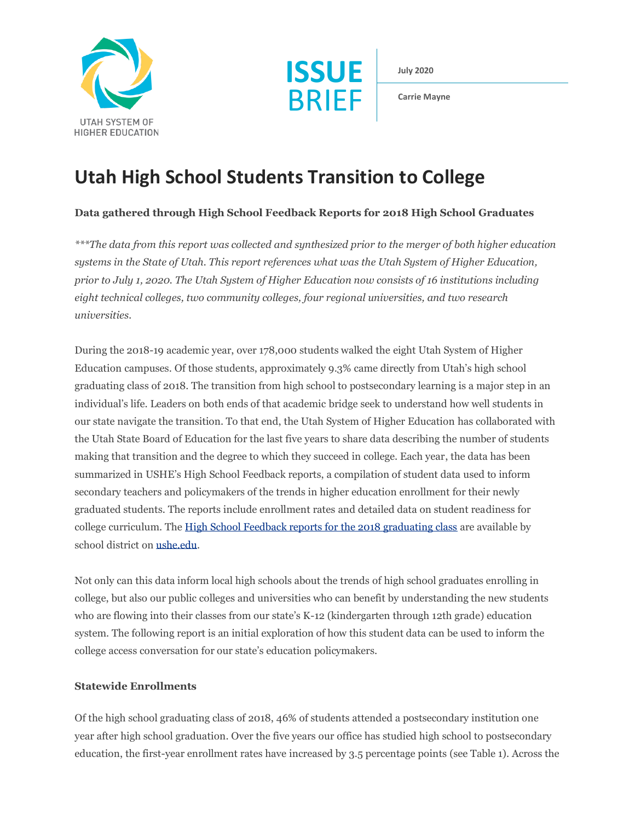



**July 2020**

**Carrie Mayne**

# **Utah High School Students Transition to College**

# **Data gathered through High School Feedback Reports for 2018 High School Graduates**

*\*\*\*The data from this report was collected and synthesized prior to the merger of both higher education systems in the State of Utah. This report references what was the Utah System of Higher Education, prior to July 1, 2020. The Utah System of Higher Education now consists of 16 institutions including eight technical colleges, two community colleges, four regional universities, and two research universities.*

During the 2018-19 academic year, over 178,000 students walked the eight Utah System of Higher Education campuses. Of those students, approximately 9.3% came directly from Utah's high school graduating class of 2018. The transition from high school to postsecondary learning is a major step in an individual's life. Leaders on both ends of that academic bridge seek to understand how well students in our state navigate the transition. To that end, the Utah System of Higher Education has collaborated with the Utah State Board of Education for the last five years to share data describing the number of students making that transition and the degree to which they succeed in college. Each year, the data has been summarized in USHE's High School Feedback reports, a compilation of student data used to inform secondary teachers and policymakers of the trends in higher education enrollment for their newly graduated students. The reports include enrollment rates and detailed data on student readiness for college curriculum. The [High School Feedback reports for the 2018 graduating class](https://ushe.edu/2018-high-school-feedback-reports/) are available by school district o[n ushe.edu.](https://ushe.edu/)

Not only can this data inform local high schools about the trends of high school graduates enrolling in college, but also our public colleges and universities who can benefit by understanding the new students who are flowing into their classes from our state's K-12 (kindergarten through 12th grade) education system. The following report is an initial exploration of how this student data can be used to inform the college access conversation for our state's education policymakers.

## **Statewide Enrollments**

Of the high school graduating class of 2018, 46% of students attended a postsecondary institution one year after high school graduation. Over the five years our office has studied high school to postsecondary education, the first-year enrollment rates have increased by 3.5 percentage points (see Table 1). Across the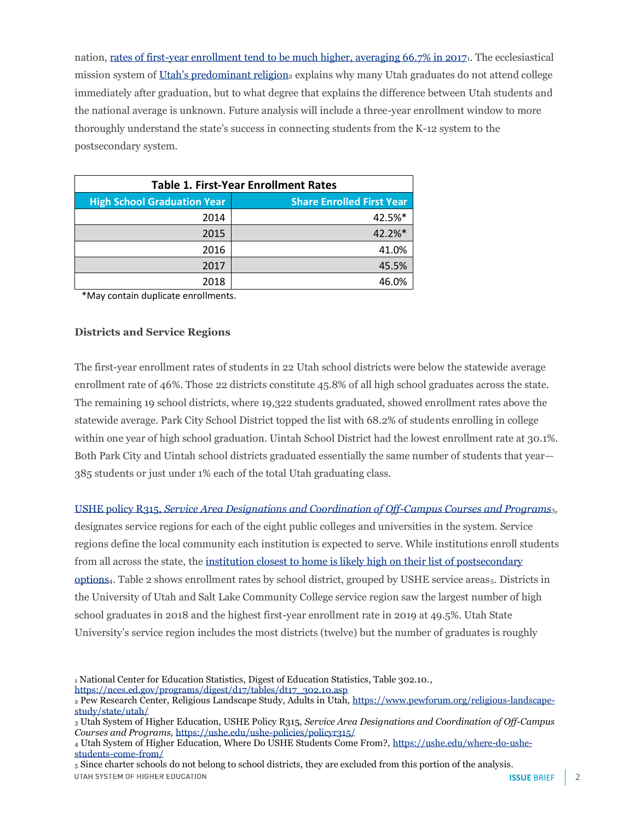nation[, rates of first-year enrollment tend to be much higher, averaging 66.7% in 2017](https://nces.ed.gov/programs/digest/d17/tables/dt17_302.10.asp)1. The ecclesiastical mission system of Utah's [predominant religion](https://www.pewforum.org/religious-landscape-study/state/utah/). explains why many Utah graduates do not attend college immediately after graduation, but to what degree that explains the difference between Utah students and the national average is unknown. Future analysis will include a three-year enrollment window to more thoroughly understand the state's success in connecting students from the K-12 system to the postsecondary system.

| <b>Table 1. First-Year Enrollment Rates</b> |                                  |
|---------------------------------------------|----------------------------------|
| <b>High School Graduation Year</b>          | <b>Share Enrolled First Year</b> |
| 2014                                        | 42.5%*                           |
| 2015                                        | 42.2%*                           |
| 2016                                        | 41.0%                            |
| 2017                                        | 45.5%                            |
| 2018                                        | 46.0%                            |

\*May contain duplicate enrollments.

#### **Districts and Service Regions**

The first-year enrollment rates of students in 22 Utah school districts were below the statewide average enrollment rate of 46%. Those 22 districts constitute 45.8% of all high school graduates across the state. The remaining 19 school districts, where 19,322 students graduated, showed enrollment rates above the statewide average. Park City School District topped the list with 68.2% of students enrolling in college within one year of high school graduation. Uintah School District had the lowest enrollment rate at 30.1%. Both Park City and Uintah school districts graduated essentially the same number of students that year— 385 students or just under 1% each of the total Utah graduating class.

USHE policy R315, *[Service Area Designations and Coordination of Off-Campus Courses and Programs](https://ushe.edu/ushe-policies/policyr315/)*3, designates service regions for each of the eight public colleges and universities in the system. Service regions define the local community each institution is expected to serve. While institutions enroll students from all across the state, the institution closest to home [is likely high on their list of postsecondary](https://ushe.edu/where-do-ushe-students-come-from/)  [options](https://ushe.edu/where-do-ushe-students-come-from/)<sub>4</sub>. Table 2 shows enrollment rates by school district, grouped by USHE service areas<sub>5</sub>. Districts in the University of Utah and Salt Lake Community College service region saw the largest number of high school graduates in 2018 and the highest first-year enrollment rate in 2019 at 49.5%. Utah State University's service region includes the most districts (twelve) but the number of graduates is roughly

<sup>1</sup> National Center for Education Statistics, Digest of Education Statistics, Table 302.10.,

[https://nces.ed.gov/programs/digest/d17/tables/dt17\\_302.10.asp](https://nces.ed.gov/programs/digest/d17/tables/dt17_302.10.asp)

<sup>2</sup> Pew Research Center, Religious Landscape Study, Adults in Utah, [https://www.pewforum.org/religious-landscape](https://www.pewforum.org/religious-landscape-study/state/utah/)[study/state/utah/](https://www.pewforum.org/religious-landscape-study/state/utah/)

<sup>3</sup> Utah System of Higher Education, USHE Policy R315, *Service Area Designations and Coordination of Off-Campus Courses and Programs,* <https://ushe.edu/ushe-policies/policyr315/>

<sup>4</sup> Utah System of Higher Education, Where Do USHE Students Come From?[, https://ushe.edu/where-do-ushe](https://ushe.edu/where-do-ushe-students-come-from/)[students-come-from/](https://ushe.edu/where-do-ushe-students-come-from/)

<sup>5</sup> Since charter schools do not belong to school districts, they are excluded from this portion of the analysis.UTAH SYSTEM OF HIGHER EDUCATION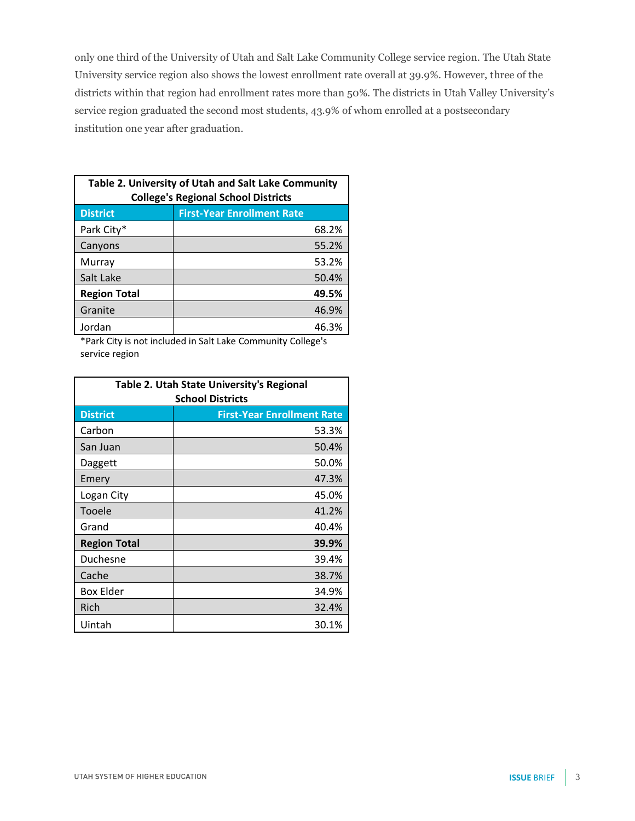only one third of the University of Utah and Salt Lake Community College service region. The Utah State University service region also shows the lowest enrollment rate overall at 39.9%. However, three of the districts within that region had enrollment rates more than 50%. The districts in Utah Valley University's service region graduated the second most students, 43.9% of whom enrolled at a postsecondary institution one year after graduation.

| Table 2. University of Utah and Salt Lake Community<br><b>College's Regional School Districts</b> |                                   |
|---------------------------------------------------------------------------------------------------|-----------------------------------|
| <b>District</b>                                                                                   | <b>First-Year Enrollment Rate</b> |
| Park City*                                                                                        | 68.2%                             |
| Canyons                                                                                           | 55.2%                             |
| Murray                                                                                            | 53.2%                             |
| Salt Lake                                                                                         | 50.4%                             |
| <b>Region Total</b>                                                                               | 49.5%                             |
| Granite                                                                                           | 46.9%                             |
| Jordan                                                                                            | 46.3%                             |

\*Park City is not included in Salt Lake Community College's service region

| <b>Table 2. Utah State University's Regional</b> |                                   |
|--------------------------------------------------|-----------------------------------|
| <b>School Districts</b>                          |                                   |
| <b>District</b>                                  | <b>First-Year Enrollment Rate</b> |
| Carbon                                           | 53.3%                             |
| San Juan                                         | 50.4%                             |
| Daggett                                          | 50.0%                             |
| Emery                                            | 47.3%                             |
| Logan City                                       | 45.0%                             |
| Tooele                                           | 41.2%                             |
| Grand                                            | 40.4%                             |
| <b>Region Total</b>                              | 39.9%                             |
| Duchesne                                         | 39.4%                             |
| Cache                                            | 38.7%                             |
| <b>Box Elder</b>                                 | 34.9%                             |
| Rich                                             | 32.4%                             |
| Uintah                                           | 30.1%                             |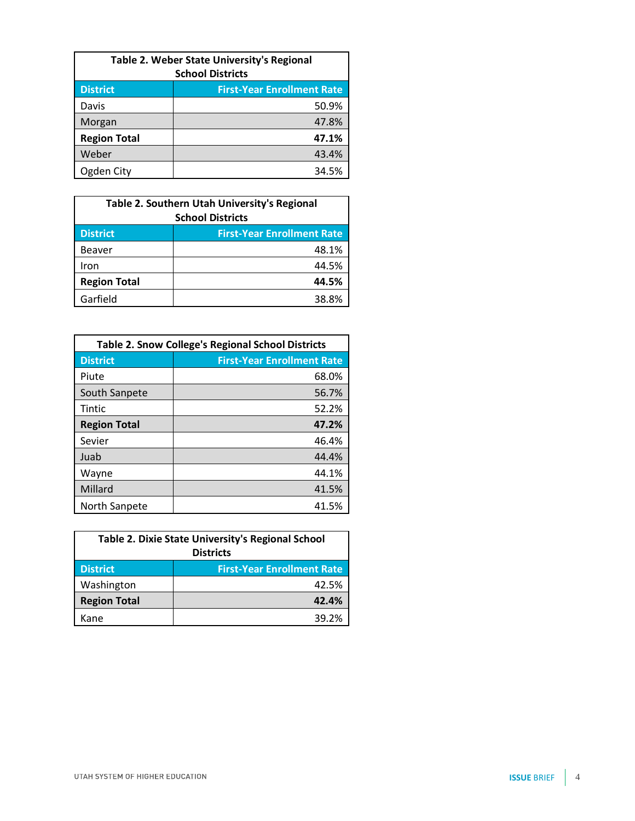| Table 2. Weber State University's Regional<br><b>School Districts</b> |                                   |
|-----------------------------------------------------------------------|-----------------------------------|
| <b>District</b>                                                       | <b>First-Year Enrollment Rate</b> |
| Davis                                                                 | 50.9%                             |
| Morgan                                                                | 47.8%                             |
| <b>Region Total</b>                                                   | 47.1%                             |
| Weber                                                                 | 43.4%                             |
| Ogden City                                                            | 34.5%                             |

| Table 2. Southern Utah University's Regional<br><b>School Districts</b> |                                   |
|-------------------------------------------------------------------------|-----------------------------------|
| <b>District</b>                                                         | <b>First-Year Enrollment Rate</b> |
| <b>Beaver</b>                                                           | 48.1%                             |
| Iron                                                                    | 44.5%                             |
| <b>Region Total</b>                                                     | 44.5%                             |
| Garfield                                                                | 38.8%                             |

| <b>Table 2. Snow College's Regional School Districts</b> |                                   |
|----------------------------------------------------------|-----------------------------------|
| <b>District</b>                                          | <b>First-Year Enrollment Rate</b> |
| Piute                                                    | 68.0%                             |
| South Sanpete                                            | 56.7%                             |
| Tintic                                                   | 52.2%                             |
| <b>Region Total</b>                                      | 47.2%                             |
| Sevier                                                   | 46.4%                             |
| Juab                                                     | 44.4%                             |
| Wayne                                                    | 44.1%                             |
| Millard                                                  | 41.5%                             |
| North Sanpete                                            | 41.5%                             |

| Table 2. Dixie State University's Regional School<br><b>Districts</b> |                                   |
|-----------------------------------------------------------------------|-----------------------------------|
|                                                                       |                                   |
| <b>District</b>                                                       | <b>First-Year Enrollment Rate</b> |
| Washington                                                            | 42.5%                             |
| <b>Region Total</b>                                                   | 42.4%                             |
| Kane                                                                  | 39.2%                             |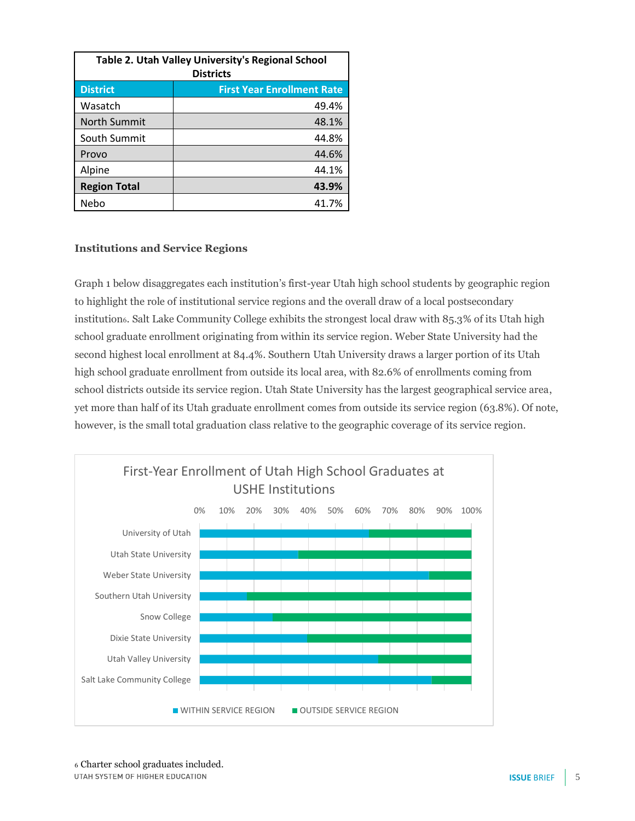| Table 2. Utah Valley University's Regional School<br><b>Districts</b> |                                   |
|-----------------------------------------------------------------------|-----------------------------------|
| <b>District</b>                                                       | <b>First Year Enrollment Rate</b> |
| Wasatch                                                               | 49.4%                             |
| <b>North Summit</b>                                                   | 48.1%                             |
| South Summit                                                          | 44.8%                             |
| Provo                                                                 | 44.6%                             |
| Alpine                                                                | 44.1%                             |
| <b>Region Total</b>                                                   | 43.9%                             |
| Nebo                                                                  | 41.7%                             |

## **Institutions and Service Regions**

Graph 1 below disaggregates each institution's first-year Utah high school students by geographic region to highlight the role of institutional service regions and the overall draw of a local postsecondary institution6. Salt Lake Community College exhibits the strongest local draw with 85.3% of its Utah high school graduate enrollment originating from within its service region. Weber State University had the second highest local enrollment at 84.4%. Southern Utah University draws a larger portion of its Utah high school graduate enrollment from outside its local area, with 82.6% of enrollments coming from school districts outside its service region. Utah State University has the largest geographical service area, yet more than half of its Utah graduate enrollment comes from outside its service region (63.8%). Of note, however, is the small total graduation class relative to the geographic coverage of its service region.